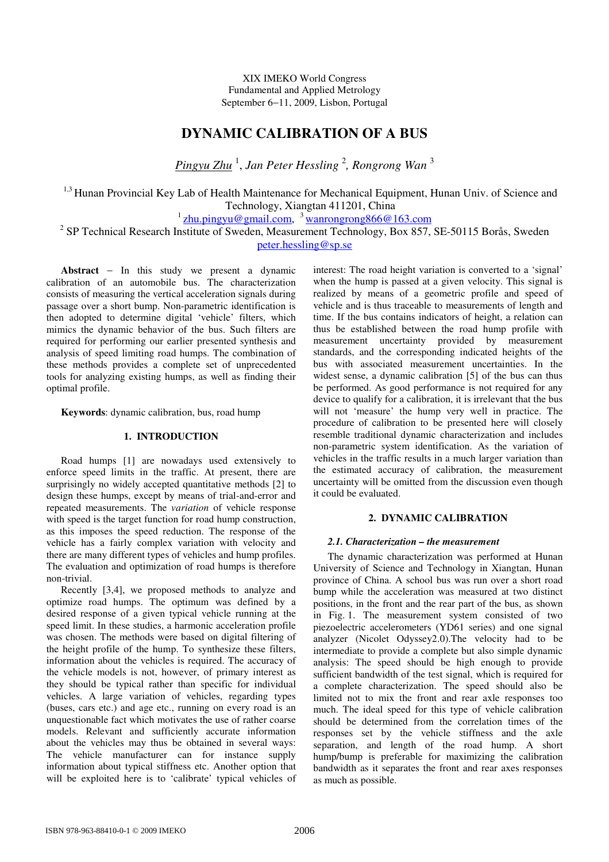XIX IMEKO World Congress Fundamental and Applied Metrology September 6−11, 2009, Lisbon, Portugal

# **DYNAMIC CALIBRATION OF A BUS**

*Pingyu Zhu* 1 , *Jan Peter Hessling* 2 *, Rongrong Wan* 3

<sup>1,3</sup> Hunan Provincial Key Lab of Health Maintenance for Mechanical Equipment, Hunan Univ. of Science and Technology, Xiangtan 411201, China

<sup>1</sup> zhu.pingyu@gmail.com, <sup>3</sup> wanrongrong866@163.com

<sup>2</sup> SP Technical Research Institute of Sweden, Measurement Technology, Box 857, SE-50115 Borås, Sweden peter.hessling@sp.se

**Abstract** − In this study we present a dynamic calibration of an automobile bus. The characterization consists of measuring the vertical acceleration signals during passage over a short bump. Non-parametric identification is then adopted to determine digital 'vehicle' filters, which mimics the dynamic behavior of the bus. Such filters are required for performing our earlier presented synthesis and analysis of speed limiting road humps. The combination of these methods provides a complete set of unprecedented tools for analyzing existing humps, as well as finding their optimal profile.

**Keywords**: dynamic calibration, bus, road hump

## **1. INTRODUCTION**

Road humps [1] are nowadays used extensively to enforce speed limits in the traffic. At present, there are surprisingly no widely accepted quantitative methods [2] to design these humps, except by means of trial-and-error and repeated measurements. The *variation* of vehicle response with speed is the target function for road hump construction, as this imposes the speed reduction. The response of the vehicle has a fairly complex variation with velocity and there are many different types of vehicles and hump profiles. The evaluation and optimization of road humps is therefore non-trivial.

Recently [3,4], we proposed methods to analyze and optimize road humps. The optimum was defined by a desired response of a given typical vehicle running at the speed limit. In these studies, a harmonic acceleration profile was chosen. The methods were based on digital filtering of the height profile of the hump. To synthesize these filters, information about the vehicles is required. The accuracy of the vehicle models is not, however, of primary interest as they should be typical rather than specific for individual vehicles. A large variation of vehicles, regarding types (buses, cars etc.) and age etc., running on every road is an unquestionable fact which motivates the use of rather coarse models. Relevant and sufficiently accurate information about the vehicles may thus be obtained in several ways: The vehicle manufacturer can for instance supply information about typical stiffness etc. Another option that will be exploited here is to 'calibrate' typical vehicles of interest: The road height variation is converted to a 'signal' when the hump is passed at a given velocity. This signal is realized by means of a geometric profile and speed of vehicle and is thus traceable to measurements of length and time. If the bus contains indicators of height, a relation can thus be established between the road hump profile with measurement uncertainty provided by measurement standards, and the corresponding indicated heights of the bus with associated measurement uncertainties. In the widest sense, a dynamic calibration [5] of the bus can thus be performed. As good performance is not required for any device to qualify for a calibration, it is irrelevant that the bus will not 'measure' the hump very well in practice. The procedure of calibration to be presented here will closely resemble traditional dynamic characterization and includes non-parametric system identification. As the variation of vehicles in the traffic results in a much larger variation than the estimated accuracy of calibration, the measurement uncertainty will be omitted from the discussion even though it could be evaluated.

# **2. DYNAMIC CALIBRATION**

# *2.1. Characterization – the measurement*

The dynamic characterization was performed at Hunan University of Science and Technology in Xiangtan, Hunan province of China. A school bus was run over a short road bump while the acceleration was measured at two distinct positions, in the front and the rear part of the bus, as shown in Fig. 1. The measurement system consisted of two piezoelectric accelerometers (YD61 series) and one signal analyzer (Nicolet Odyssey2.0).The velocity had to be intermediate to provide a complete but also simple dynamic analysis: The speed should be high enough to provide sufficient bandwidth of the test signal, which is required for a complete characterization. The speed should also be limited not to mix the front and rear axle responses too much. The ideal speed for this type of vehicle calibration should be determined from the correlation times of the responses set by the vehicle stiffness and the axle separation, and length of the road hump. A short hump/bump is preferable for maximizing the calibration bandwidth as it separates the front and rear axes responses as much as possible.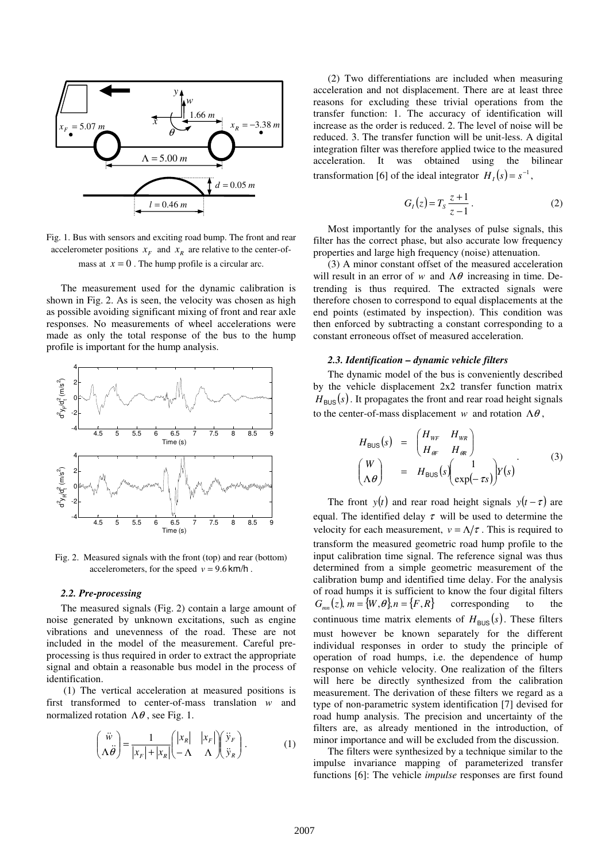

Fig. 1. Bus with sensors and exciting road bump. The front and rear accelerometer positions  $x_F$  and  $x_R$  are relative to the center-ofmass at  $x = 0$ . The hump profile is a circular arc.

The measurement used for the dynamic calibration is shown in Fig. 2. As is seen, the velocity was chosen as high as possible avoiding significant mixing of front and rear axle responses. No measurements of wheel accelerations were made as only the total response of the bus to the hump profile is important for the hump analysis.



Fig. 2. Measured signals with the front (top) and rear (bottom) accelerometers, for the speed  $v = 9.6$  km/h.

#### *2.2. Pre-processing*

The measured signals (Fig. 2) contain a large amount of noise generated by unknown excitations, such as engine vibrations and unevenness of the road. These are not included in the model of the measurement. Careful preprocessing is thus required in order to extract the appropriate signal and obtain a reasonable bus model in the process of identification.

(1) The vertical acceleration at measured positions is first transformed to center-of-mass translation *w* and normalized rotation  $Λθ$ , see Fig. 1.

$$
\begin{pmatrix} \ddot{w} \\ \Lambda \ddot{\theta} \end{pmatrix} = \frac{1}{|x_F| + |x_R|} \begin{pmatrix} |x_R| & |x_F| \\ -\Lambda & \Lambda \end{pmatrix} \begin{pmatrix} \ddot{y}_F \\ \ddot{y}_R \end{pmatrix} . \tag{1}
$$

(2) Two differentiations are included when measuring acceleration and not displacement. There are at least three reasons for excluding these trivial operations from the transfer function: 1. The accuracy of identification will increase as the order is reduced. 2. The level of noise will be reduced. 3. The transfer function will be unit-less. A digital integration filter was therefore applied twice to the measured acceleration. It was obtained using the bilinear transformation [6] of the ideal integrator  $H_I(s) = s^{-1}$ ,

$$
G_{I}(z) = T_{S} \frac{z+1}{z-1}.
$$
 (2)

Most importantly for the analyses of pulse signals, this filter has the correct phase, but also accurate low frequency properties and large high frequency (noise) attenuation.

(3) A minor constant offset of the measured acceleration will result in an error of *w* and  $\Lambda \theta$  increasing in time. Detrending is thus required. The extracted signals were therefore chosen to correspond to equal displacements at the end points (estimated by inspection). This condition was then enforced by subtracting a constant corresponding to a constant erroneous offset of measured acceleration.

# *2.3. Identification – dynamic vehicle filters*

The dynamic model of the bus is conveniently described by the vehicle displacement 2x2 transfer function matrix  $H_{\texttt{BUS}}(s)$  . It propagates the front and rear road height signals to the center-of-mass displacement *w* and rotation  $\Lambda \theta$ .

$$
H_{\text{BUS}}(s) = \begin{pmatrix} H_{WF} & H_{WR} \\ H_{\theta F} & H_{\theta R} \end{pmatrix}
$$
  
\n
$$
\begin{pmatrix} W \\ \Lambda \theta \end{pmatrix} = H_{\text{BUS}}(s) \begin{pmatrix} 1 \\ \exp(-\tau s) \end{pmatrix} Y(s)
$$
 (3)

The front *y*(*t*) and rear road height signals *y*(*t* −  $\tau$ ) are equal. The identified delay  $\tau$  will be used to determine the velocity for each measurement,  $v = \Lambda/\tau$ . This is required to transform the measured geometric road hump profile to the input calibration time signal. The reference signal was thus determined from a simple geometric measurement of the calibration bump and identified time delay. For the analysis of road humps it is sufficient to know the four digital filters  $G_{mn}(z)$ ,  $m = \{W, \theta\}$ ,  $n = \{F, R\}$  corresponding to the continuous time matrix elements of  $H_{\text{BUS}}(s)$ . These filters must however be known separately for the different individual responses in order to study the principle of operation of road humps, i.e. the dependence of hump response on vehicle velocity. One realization of the filters will here be directly synthesized from the calibration measurement. The derivation of these filters we regard as a type of non-parametric system identification [7] devised for road hump analysis. The precision and uncertainty of the filters are, as already mentioned in the introduction, of minor importance and will be excluded from the discussion.

The filters were synthesized by a technique similar to the impulse invariance mapping of parameterized transfer functions [6]: The vehicle *impulse* responses are first found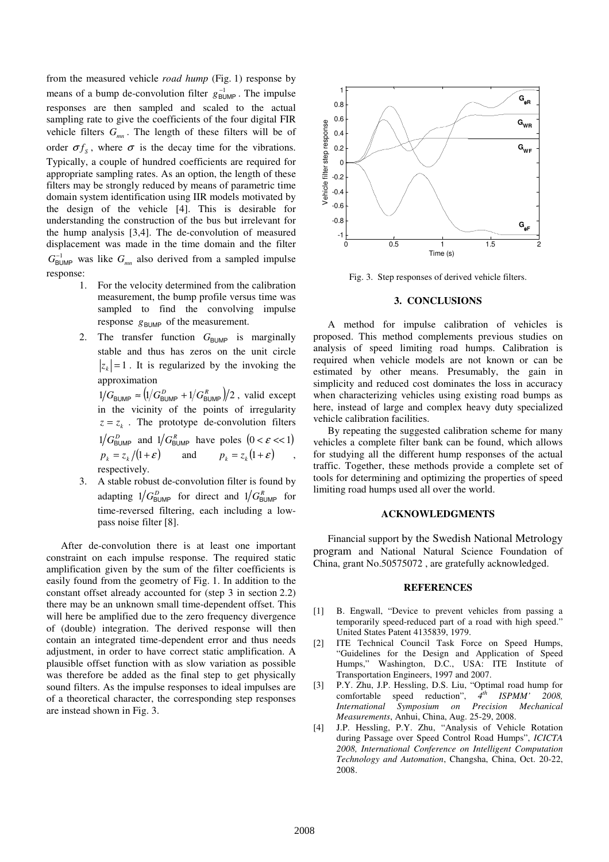from the measured vehicle *road hump* (Fig. 1) response by means of a bump de-convolution filter  $g_{\text{BUMP}}^{-1}$ . The impulse responses are then sampled and scaled to the actual sampling rate to give the coefficients of the four digital FIR vehicle filters *Gmn* . The length of these filters will be of order  $\sigma f_s$ , where  $\sigma$  is the decay time for the vibrations. Typically, a couple of hundred coefficients are required for appropriate sampling rates. As an option, the length of these filters may be strongly reduced by means of parametric time domain system identification using IIR models motivated by the design of the vehicle [4]. This is desirable for understanding the construction of the bus but irrelevant for the hump analysis [3,4]. The de-convolution of measured displacement was made in the time domain and the filter  $G_{\text{BUMP}}^{-1}$  was like  $G_{mn}$  also derived from a sampled impulse response:

- 1. For the velocity determined from the calibration measurement, the bump profile versus time was sampled to find the convolving impulse response  $g_{\text{BUMP}}$  of the measurement.
- 2. The transfer function G<sub>BUMP</sub> is marginally stable and thus has zeros on the unit circle  $|z_k| = 1$ . It is regularized by the invoking the approximation

 $1/G_{\text{BUMP}} \approx (1/G_{\text{BUMP}}^D + 1/G_{\text{BUMP}}^R)/2$ , valid except in the vicinity of the points of irregularity  $z = z_k$ . The prototype de-convolution filters  $1/G_{\text{BUMP}}^D$  and  $1/G_{\text{BUMP}}^R$  have poles  $(0 < \varepsilon < 1)$  $p_k = z_k/(1+\mathcal{E})$  and  $p_k = z_k(1+\mathcal{E})$ , respectively.

3. A stable robust de-convolution filter is found by adapting  $1/G_{\text{BUMP}}^D$  for direct and  $1/G_{\text{BUMP}}^R$  for time-reversed filtering, each including a lowpass noise filter [8].

After de-convolution there is at least one important constraint on each impulse response. The required static amplification given by the sum of the filter coefficients is easily found from the geometry of Fig. 1. In addition to the constant offset already accounted for (step 3 in section 2.2) there may be an unknown small time-dependent offset. This will here be amplified due to the zero frequency divergence of (double) integration. The derived response will then contain an integrated time-dependent error and thus needs adjustment, in order to have correct static amplification. A plausible offset function with as slow variation as possible was therefore be added as the final step to get physically sound filters. As the impulse responses to ideal impulses are of a theoretical character, the corresponding step responses are instead shown in Fig. 3.



Fig. 3. Step responses of derived vehicle filters.

## **3. CONCLUSIONS**

A method for impulse calibration of vehicles is proposed. This method complements previous studies on analysis of speed limiting road humps. Calibration is required when vehicle models are not known or can be estimated by other means. Presumably, the gain in simplicity and reduced cost dominates the loss in accuracy when characterizing vehicles using existing road bumps as here, instead of large and complex heavy duty specialized vehicle calibration facilities.

By repeating the suggested calibration scheme for many vehicles a complete filter bank can be found, which allows for studying all the different hump responses of the actual traffic. Together, these methods provide a complete set of tools for determining and optimizing the properties of speed limiting road humps used all over the world.

#### **ACKNOWLEDGMENTS**

Financial support by the Swedish National Metrology program and National Natural Science Foundation of China, grant No.50575072 , are gratefully acknowledged.

### **REFERENCES**

- [1] B. Engwall, "Device to prevent vehicles from passing a temporarily speed-reduced part of a road with high speed." United States Patent 4135839, 1979.
- [2] ITE Technical Council Task Force on Speed Humps, "Guidelines for the Design and Application of Speed Humps," Washington, D.C., USA: ITE Institute of Transportation Engineers, 1997 and 2007.
- [3] P.Y. Zhu, J.P. Hessling, D.S. Liu, "Optimal road hump for comfortable speed reduction", *4 th ISPMM' 2008, International Symposium on Precision Mechanical Measurements*, Anhui, China, Aug. 25-29, 2008.
- [4] J.P. Hessling, P.Y. Zhu, "Analysis of Vehicle Rotation during Passage over Speed Control Road Humps", *ICICTA 2008, International Conference on Intelligent Computation Technology and Automation*, Changsha, China, Oct. 20-22, 2008.